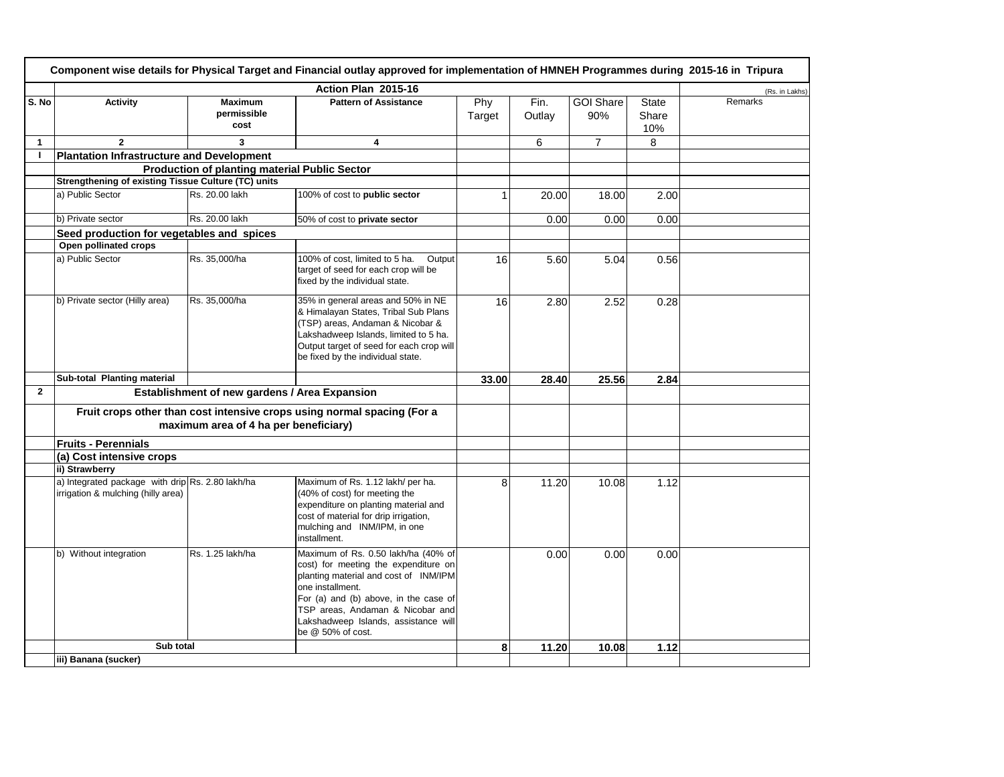|              | Component wise details for Physical Target and Financial outlay approved for implementation of HMNEH Programmes during 2015-16 in Tripura |                                                      |                                                                                                                                                                                                                                                                                    |               |                |                         |                              |                |  |
|--------------|-------------------------------------------------------------------------------------------------------------------------------------------|------------------------------------------------------|------------------------------------------------------------------------------------------------------------------------------------------------------------------------------------------------------------------------------------------------------------------------------------|---------------|----------------|-------------------------|------------------------------|----------------|--|
|              |                                                                                                                                           |                                                      | Action Plan 2015-16                                                                                                                                                                                                                                                                |               |                |                         |                              | (Rs. in Lakhs) |  |
| S. No        | <b>Activity</b>                                                                                                                           | <b>Maximum</b><br>permissible<br>cost                | <b>Pattern of Assistance</b>                                                                                                                                                                                                                                                       | Phy<br>Target | Fin.<br>Outlay | <b>GOI Share</b><br>90% | <b>State</b><br>Share<br>10% | Remarks        |  |
| $\mathbf{1}$ | $\mathbf{2}$                                                                                                                              | 3                                                    | 4                                                                                                                                                                                                                                                                                  |               | 6              | 7                       | 8                            |                |  |
| $\mathbf{I}$ | <b>Plantation Infrastructure and Development</b>                                                                                          |                                                      |                                                                                                                                                                                                                                                                                    |               |                |                         |                              |                |  |
|              |                                                                                                                                           | <b>Production of planting material Public Sector</b> |                                                                                                                                                                                                                                                                                    |               |                |                         |                              |                |  |
|              | Strengthening of existing Tissue Culture (TC) units                                                                                       |                                                      |                                                                                                                                                                                                                                                                                    |               |                |                         |                              |                |  |
|              | a) Public Sector                                                                                                                          | Rs. 20.00 lakh                                       | 100% of cost to public sector                                                                                                                                                                                                                                                      | 1             | 20.00          | 18.00                   | 2.00                         |                |  |
|              | b) Private sector                                                                                                                         | Rs. 20.00 lakh                                       | 50% of cost to private sector                                                                                                                                                                                                                                                      |               | 0.00           | 0.00                    | 0.00                         |                |  |
|              | Seed production for vegetables and spices                                                                                                 |                                                      |                                                                                                                                                                                                                                                                                    |               |                |                         |                              |                |  |
|              | Open pollinated crops                                                                                                                     |                                                      |                                                                                                                                                                                                                                                                                    |               |                |                         |                              |                |  |
|              | a) Public Sector                                                                                                                          | Rs. 35,000/ha                                        | 100% of cost. limited to 5 ha.<br>Output<br>target of seed for each crop will be<br>fixed by the individual state.                                                                                                                                                                 | 16            | 5.60           | 5.04                    | 0.56                         |                |  |
|              | b) Private sector (Hilly area)                                                                                                            | Rs. 35,000/ha                                        | 35% in general areas and 50% in NE<br>& Himalayan States, Tribal Sub Plans<br>(TSP) areas, Andaman & Nicobar &<br>Lakshadweep Islands, limited to 5 ha.<br>Output target of seed for each crop will<br>be fixed by the individual state.                                           | 16            | 2.80           | 2.52                    | 0.28                         |                |  |
|              | Sub-total Planting material                                                                                                               |                                                      |                                                                                                                                                                                                                                                                                    | 33.00         | 28.40          | 25.56                   | 2.84                         |                |  |
| $\mathbf{2}$ |                                                                                                                                           | Establishment of new gardens / Area Expansion        |                                                                                                                                                                                                                                                                                    |               |                |                         |                              |                |  |
|              |                                                                                                                                           |                                                      | Fruit crops other than cost intensive crops using normal spacing (For a                                                                                                                                                                                                            |               |                |                         |                              |                |  |
|              |                                                                                                                                           | maximum area of 4 ha per beneficiary)                |                                                                                                                                                                                                                                                                                    |               |                |                         |                              |                |  |
|              | <b>Fruits - Perennials</b>                                                                                                                |                                                      |                                                                                                                                                                                                                                                                                    |               |                |                         |                              |                |  |
|              | (a) Cost intensive crops                                                                                                                  |                                                      |                                                                                                                                                                                                                                                                                    |               |                |                         |                              |                |  |
|              | ii) Strawberry                                                                                                                            |                                                      |                                                                                                                                                                                                                                                                                    |               |                |                         |                              |                |  |
|              | a) Integrated package with drip Rs. 2.80 lakh/ha<br>irrigation & mulching (hilly area)                                                    |                                                      | Maximum of Rs. 1.12 lakh/ per ha.<br>(40% of cost) for meeting the<br>expenditure on planting material and<br>cost of material for drip irrigation,<br>mulching and INM/IPM, in one<br>installment.                                                                                | 8             | 11.20          | 10.08                   | 1.12                         |                |  |
|              | b) Without integration                                                                                                                    | Rs. 1.25 lakh/ha                                     | Maximum of Rs. 0.50 lakh/ha (40% of<br>cost) for meeting the expenditure on<br>planting material and cost of INM/IPM<br>one installment.<br>For (a) and (b) above, in the case of<br>TSP areas, Andaman & Nicobar and<br>Lakshadweep Islands, assistance will<br>be @ 50% of cost. |               | 0.00           | 0.00                    | 0.00                         |                |  |
|              | Sub total                                                                                                                                 |                                                      |                                                                                                                                                                                                                                                                                    | 8             | 11.20          | 10.08                   | 1.12                         |                |  |
|              | iii) Banana (sucker)                                                                                                                      |                                                      |                                                                                                                                                                                                                                                                                    |               |                |                         |                              |                |  |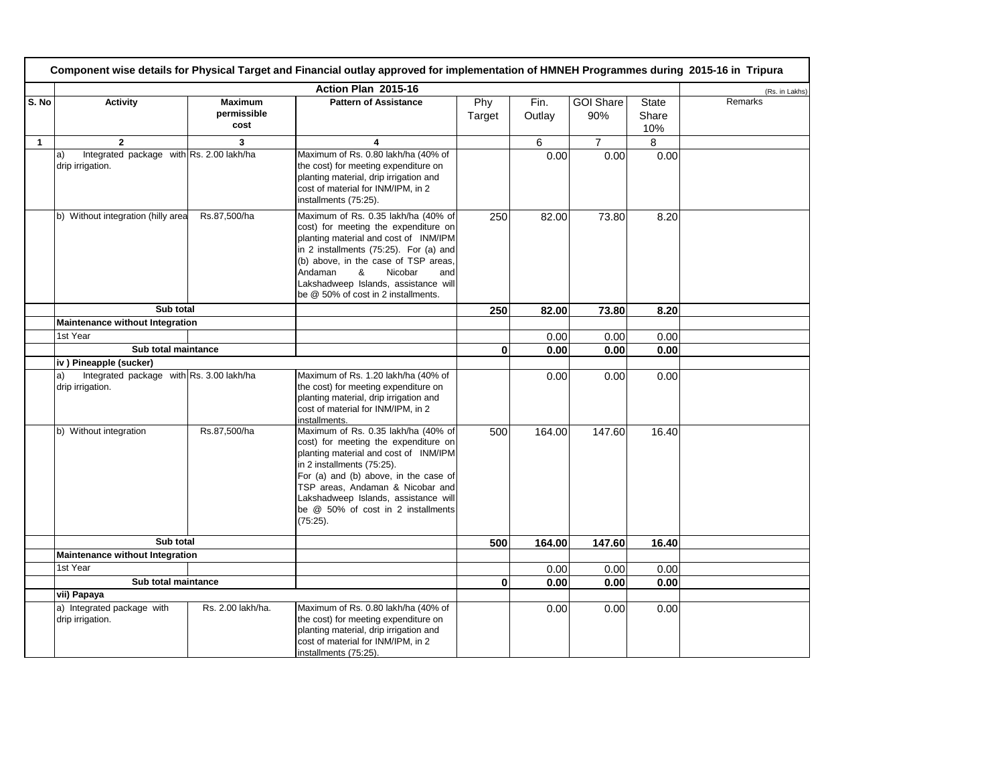| Component wise details for Physical Target and Financial outlay approved for implementation of HMNEH Programmes during 2015-16 in Tripura |                                                                    |                                       |                                                                                                                                                                                                                                                                                                                              |               |                |                         |                              |                |
|-------------------------------------------------------------------------------------------------------------------------------------------|--------------------------------------------------------------------|---------------------------------------|------------------------------------------------------------------------------------------------------------------------------------------------------------------------------------------------------------------------------------------------------------------------------------------------------------------------------|---------------|----------------|-------------------------|------------------------------|----------------|
|                                                                                                                                           |                                                                    |                                       | Action Plan 2015-16                                                                                                                                                                                                                                                                                                          |               |                |                         |                              | (Rs. in Lakhs) |
| S. No                                                                                                                                     | Activity                                                           | <b>Maximum</b><br>permissible<br>cost | <b>Pattern of Assistance</b>                                                                                                                                                                                                                                                                                                 | Phy<br>Target | Fin.<br>Outlay | <b>GOI Share</b><br>90% | <b>State</b><br>Share<br>10% | Remarks        |
| $\mathbf{1}$                                                                                                                              | $\overline{2}$                                                     | 3                                     | 4                                                                                                                                                                                                                                                                                                                            |               | 6              | $\overline{7}$          | 8                            |                |
|                                                                                                                                           | Integrated package with Rs. 2.00 lakh/ha<br>a)<br>drip irrigation. |                                       | Maximum of Rs. 0.80 lakh/ha (40% of<br>the cost) for meeting expenditure on<br>planting material, drip irrigation and<br>cost of material for INM/IPM, in 2<br>installments (75:25).                                                                                                                                         |               | 0.00           | 0.00                    | 0.00                         |                |
|                                                                                                                                           | b) Without integration (hilly area                                 | Rs.87,500/ha                          | Maximum of Rs. 0.35 lakh/ha (40% of<br>cost) for meeting the expenditure on<br>planting material and cost of INM/IPM<br>in 2 installments (75:25). For (a) and<br>(b) above, in the case of TSP areas,<br>Nicobar<br>Andaman<br>&<br>and<br>Lakshadweep Islands, assistance will<br>be @ 50% of cost in 2 installments.      | 250           | 82.00          | 73.80                   | 8.20                         |                |
|                                                                                                                                           | Sub total                                                          |                                       |                                                                                                                                                                                                                                                                                                                              | 250           | 82.00          | 73.80                   | 8.20                         |                |
|                                                                                                                                           | Maintenance without Integration                                    |                                       |                                                                                                                                                                                                                                                                                                                              |               |                |                         |                              |                |
|                                                                                                                                           | 1st Year                                                           |                                       |                                                                                                                                                                                                                                                                                                                              |               | 0.00           | 0.00                    | 0.00                         |                |
|                                                                                                                                           | Sub total maintance                                                |                                       |                                                                                                                                                                                                                                                                                                                              | $\mathbf{0}$  | 0.00           | 0.00                    | 0.00                         |                |
|                                                                                                                                           | iv) Pineapple (sucker)                                             |                                       |                                                                                                                                                                                                                                                                                                                              |               |                |                         |                              |                |
|                                                                                                                                           | Integrated package with Rs. 3.00 lakh/ha<br>a)<br>drip irrigation. |                                       | Maximum of Rs. 1.20 lakh/ha (40% of<br>the cost) for meeting expenditure on<br>planting material, drip irrigation and<br>cost of material for INM/IPM, in 2<br>installments.                                                                                                                                                 |               | 0.00           | 0.00                    | 0.00                         |                |
|                                                                                                                                           | b) Without integration                                             | Rs.87,500/ha                          | Maximum of Rs. 0.35 lakh/ha (40% of<br>cost) for meeting the expenditure on<br>planting material and cost of INM/IPM<br>in 2 installments (75:25).<br>For (a) and (b) above, in the case of<br>TSP areas, Andaman & Nicobar and<br>Lakshadweep Islands, assistance will<br>be @ 50% of cost in 2 installments<br>$(75:25)$ . | 500           | 164.00         | 147.60                  | 16.40                        |                |
|                                                                                                                                           | Sub total                                                          |                                       |                                                                                                                                                                                                                                                                                                                              | 500           | 164.00         | 147.60                  | 16.40                        |                |
|                                                                                                                                           | Maintenance without Integration                                    |                                       |                                                                                                                                                                                                                                                                                                                              |               |                |                         |                              |                |
|                                                                                                                                           | 1st Year                                                           |                                       |                                                                                                                                                                                                                                                                                                                              |               | 0.00           | 0.00                    | 0.00                         |                |
|                                                                                                                                           | Sub total maintance                                                |                                       |                                                                                                                                                                                                                                                                                                                              | $\mathbf{0}$  | 0.00           | 0.00                    | 0.00                         |                |
|                                                                                                                                           | vii) Papaya                                                        |                                       |                                                                                                                                                                                                                                                                                                                              |               |                |                         |                              |                |
|                                                                                                                                           | a) Integrated package with<br>drip irrigation.                     | Rs. 2.00 lakh/ha.                     | Maximum of Rs. 0.80 lakh/ha (40% of<br>the cost) for meeting expenditure on<br>planting material, drip irrigation and<br>cost of material for INM/IPM, in 2<br>installments (75:25).                                                                                                                                         |               | 0.00           | 0.00                    | 0.00                         |                |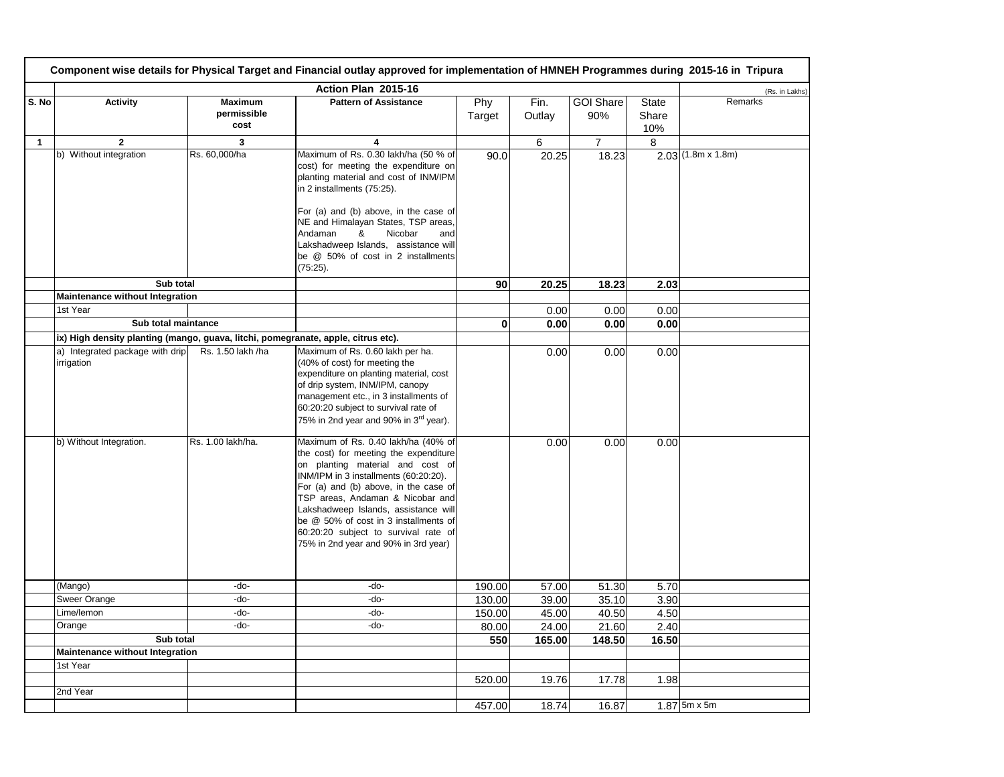|              | Component wise details for Physical Target and Financial outlay approved for implementation of HMNEH Programmes during 2015-16 in Tripura |                                       |                                                                                                                                                                                                                                                                                                                                                                                                         |               |                |                         |                              |                          |  |  |
|--------------|-------------------------------------------------------------------------------------------------------------------------------------------|---------------------------------------|---------------------------------------------------------------------------------------------------------------------------------------------------------------------------------------------------------------------------------------------------------------------------------------------------------------------------------------------------------------------------------------------------------|---------------|----------------|-------------------------|------------------------------|--------------------------|--|--|
|              |                                                                                                                                           |                                       | Action Plan 2015-16                                                                                                                                                                                                                                                                                                                                                                                     |               |                |                         |                              | (Rs. in Lakhs)           |  |  |
| S. No        | <b>Activity</b>                                                                                                                           | <b>Maximum</b><br>permissible<br>cost | <b>Pattern of Assistance</b>                                                                                                                                                                                                                                                                                                                                                                            | Phy<br>Target | Fin.<br>Outlay | <b>GOI Share</b><br>90% | <b>State</b><br>Share<br>10% | Remarks                  |  |  |
| $\mathbf{1}$ | $\overline{2}$                                                                                                                            | 3                                     | $\overline{\mathbf{4}}$                                                                                                                                                                                                                                                                                                                                                                                 |               | 6              | $\overline{7}$          | 8                            |                          |  |  |
|              | b) Without integration                                                                                                                    | Rs. 60,000/ha                         | Maximum of Rs. 0.30 lakh/ha (50 % of<br>cost) for meeting the expenditure on<br>planting material and cost of INM/IPM<br>in 2 installments (75:25).<br>For (a) and (b) above, in the case of                                                                                                                                                                                                            | 90.0          | 20.25          | 18.23                   |                              | $2.03(1.8m \times 1.8m)$ |  |  |
|              |                                                                                                                                           |                                       | NE and Himalayan States, TSP areas,<br>&<br>Nicobar<br>Andaman<br>and<br>Lakshadweep Islands, assistance will<br>be @ 50% of cost in 2 installments<br>$(75:25)$ .                                                                                                                                                                                                                                      |               |                |                         |                              |                          |  |  |
|              | Sub total                                                                                                                                 |                                       |                                                                                                                                                                                                                                                                                                                                                                                                         | 90            | 20.25          | 18.23                   | 2.03                         |                          |  |  |
|              | Maintenance without Integration                                                                                                           |                                       |                                                                                                                                                                                                                                                                                                                                                                                                         |               |                |                         |                              |                          |  |  |
|              | 1st Year<br>Sub total maintance                                                                                                           |                                       |                                                                                                                                                                                                                                                                                                                                                                                                         |               | 0.00           | 0.00                    | 0.00                         |                          |  |  |
|              |                                                                                                                                           |                                       |                                                                                                                                                                                                                                                                                                                                                                                                         | $\mathbf 0$   | 0.00           | 0.00                    | 0.00                         |                          |  |  |
|              | ix) High density planting (mango, guava, litchi, pomegranate, apple, citrus etc).<br>a) Integrated package with drip                      | Rs. 1.50 lakh /ha                     | Maximum of Rs. 0.60 lakh per ha.                                                                                                                                                                                                                                                                                                                                                                        |               |                |                         |                              |                          |  |  |
|              | irrigation                                                                                                                                |                                       | (40% of cost) for meeting the<br>expenditure on planting material, cost<br>of drip system, INM/IPM, canopy<br>management etc., in 3 installments of<br>60:20:20 subject to survival rate of<br>75% in 2nd year and 90% in 3 <sup>rd</sup> year).                                                                                                                                                        |               | 0.00           | 0.00                    | 0.00                         |                          |  |  |
|              | b) Without Integration.                                                                                                                   | Rs. 1.00 lakh/ha.                     | Maximum of Rs. 0.40 lakh/ha (40% of<br>the cost) for meeting the expenditure<br>on planting material and cost of<br>INM/IPM in 3 installments (60:20:20).<br>For (a) and (b) above, in the case of<br>TSP areas, Andaman & Nicobar and<br>Lakshadweep Islands, assistance will<br>be @ 50% of cost in 3 installments of<br>60:20:20 subject to survival rate of<br>75% in 2nd year and 90% in 3rd year) |               | 0.00           | 0.00                    | 0.00                         |                          |  |  |
|              | (Mango)                                                                                                                                   | -do-                                  | -do-                                                                                                                                                                                                                                                                                                                                                                                                    | 190.00        | 57.00          | 51.30                   | 5.70                         |                          |  |  |
|              | <b>Sweer Orange</b>                                                                                                                       | -do-                                  | -do-                                                                                                                                                                                                                                                                                                                                                                                                    | 130.00        | 39.00          | 35.10                   | 3.90                         |                          |  |  |
|              | Lime/lemon                                                                                                                                | -do-                                  | -do-                                                                                                                                                                                                                                                                                                                                                                                                    | 150.00        | 45.00          | 40.50                   | 4.50                         |                          |  |  |
|              | Orange                                                                                                                                    | -do-                                  | -do-                                                                                                                                                                                                                                                                                                                                                                                                    | 80.00         | 24.00          | 21.60                   | 2.40                         |                          |  |  |
|              | Sub total                                                                                                                                 |                                       |                                                                                                                                                                                                                                                                                                                                                                                                         | 550           | 165.00         | 148.50                  | 16.50                        |                          |  |  |
|              | <b>Maintenance without Integration</b>                                                                                                    |                                       |                                                                                                                                                                                                                                                                                                                                                                                                         |               |                |                         |                              |                          |  |  |
|              | 1st Year                                                                                                                                  |                                       |                                                                                                                                                                                                                                                                                                                                                                                                         |               |                |                         |                              |                          |  |  |
|              |                                                                                                                                           |                                       |                                                                                                                                                                                                                                                                                                                                                                                                         | 520.00        | 19.76          | 17.78                   | 1.98                         |                          |  |  |
|              | 2nd Year                                                                                                                                  |                                       |                                                                                                                                                                                                                                                                                                                                                                                                         | 457.00        | 18.74          | 16.87                   |                              | $1.87$ 5m x 5m           |  |  |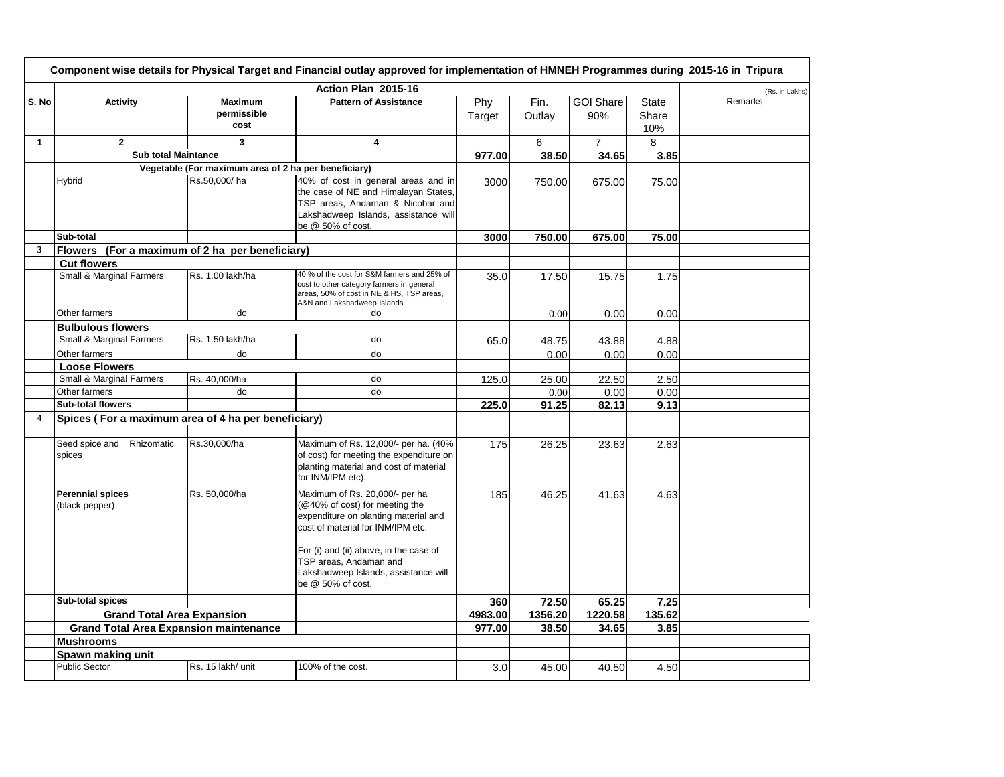|                  | Component wise details for Physical Target and Financial outlay approved for implementation of HMNEH Programmes during 2015-16 in Tripura |                                                      |                                                                                                                                                                                                                                                                                |               |                |                         |                              |                |  |
|------------------|-------------------------------------------------------------------------------------------------------------------------------------------|------------------------------------------------------|--------------------------------------------------------------------------------------------------------------------------------------------------------------------------------------------------------------------------------------------------------------------------------|---------------|----------------|-------------------------|------------------------------|----------------|--|
|                  |                                                                                                                                           |                                                      | Action Plan 2015-16                                                                                                                                                                                                                                                            |               |                |                         |                              | (Rs. in Lakhs) |  |
| S. No            | <b>Activity</b>                                                                                                                           | <b>Maximum</b><br>permissible<br>cost                | <b>Pattern of Assistance</b>                                                                                                                                                                                                                                                   | Phy<br>Target | Fin.<br>Outlay | <b>GOI Share</b><br>90% | <b>State</b><br>Share<br>10% | Remarks        |  |
| 1                | $\mathbf{2}$                                                                                                                              | 3                                                    | 4                                                                                                                                                                                                                                                                              |               | 6              | $\overline{7}$          | 8                            |                |  |
|                  | <b>Sub total Maintance</b>                                                                                                                |                                                      |                                                                                                                                                                                                                                                                                | 977.00        | 38.50          | 34.65                   | 3.85                         |                |  |
|                  |                                                                                                                                           | Vegetable (For maximum area of 2 ha per beneficiary) |                                                                                                                                                                                                                                                                                |               |                |                         |                              |                |  |
|                  | Hybrid                                                                                                                                    | Rs.50,000/ha                                         | 40% of cost in general areas and in<br>the case of NE and Himalayan States,<br>TSP areas, Andaman & Nicobar and<br>Lakshadweep Islands, assistance will<br>be @ 50% of cost.                                                                                                   | 3000          | 750.00         | 675.00                  | 75.00                        |                |  |
|                  | Sub-total                                                                                                                                 |                                                      |                                                                                                                                                                                                                                                                                | 3000          | 750.00         | 675.00                  | 75.00                        |                |  |
| 3                | Flowers (For a maximum of 2 ha per beneficiary)                                                                                           |                                                      |                                                                                                                                                                                                                                                                                |               |                |                         |                              |                |  |
|                  | <b>Cut flowers</b>                                                                                                                        |                                                      |                                                                                                                                                                                                                                                                                |               |                |                         |                              |                |  |
|                  | Small & Marginal Farmers                                                                                                                  | Rs. 1.00 lakh/ha                                     | 40 % of the cost for S&M farmers and 25% of<br>cost to other category farmers in general<br>areas, 50% of cost in NE & HS, TSP areas,<br>A&N and Lakshadweep Islands                                                                                                           | 35.0          | 17.50          | 15.75                   | 1.75                         |                |  |
|                  | Other farmers                                                                                                                             | do                                                   | do                                                                                                                                                                                                                                                                             |               | 0.00           | 0.00                    | 0.00                         |                |  |
|                  | <b>Bulbulous flowers</b>                                                                                                                  |                                                      |                                                                                                                                                                                                                                                                                |               |                |                         |                              |                |  |
|                  | Small & Marginal Farmers                                                                                                                  | Rs. 1.50 lakh/ha                                     | do                                                                                                                                                                                                                                                                             | 65.0          | 48.75          | 43.88                   | 4.88                         |                |  |
|                  | Other farmers                                                                                                                             | do                                                   | do                                                                                                                                                                                                                                                                             |               | 0.00           | 0.00                    | 0.00                         |                |  |
|                  | <b>Loose Flowers</b>                                                                                                                      |                                                      |                                                                                                                                                                                                                                                                                |               |                |                         |                              |                |  |
|                  | <b>Small &amp; Marginal Farmers</b>                                                                                                       | Rs. 40,000/ha                                        | do                                                                                                                                                                                                                                                                             | 125.0         | 25.00          | 22.50                   | 2.50                         |                |  |
|                  | Other farmers                                                                                                                             | do                                                   | do                                                                                                                                                                                                                                                                             |               | 0.00           | 0.00                    | 0.00                         |                |  |
|                  | <b>Sub-total flowers</b>                                                                                                                  |                                                      |                                                                                                                                                                                                                                                                                | 225.0         | 91.25          | 82.13                   | 9.13                         |                |  |
| $\boldsymbol{4}$ | Spices (For a maximum area of 4 ha per beneficiary)                                                                                       |                                                      |                                                                                                                                                                                                                                                                                |               |                |                         |                              |                |  |
|                  |                                                                                                                                           |                                                      |                                                                                                                                                                                                                                                                                |               |                |                         |                              |                |  |
|                  | Seed spice and<br>Rhizomatic<br>spices                                                                                                    | Rs.30,000/ha                                         | Maximum of Rs. 12,000/- per ha. (40%<br>of cost) for meeting the expenditure on<br>planting material and cost of material<br>for INM/IPM etc).                                                                                                                                 | 175           | 26.25          | 23.63                   | 2.63                         |                |  |
|                  | <b>Perennial spices</b><br>(black pepper)                                                                                                 | Rs. 50,000/ha                                        | Maximum of Rs. 20,000/- per ha<br>(@40% of cost) for meeting the<br>expenditure on planting material and<br>cost of material for INM/IPM etc.<br>For (i) and (ii) above, in the case of<br>TSP areas, Andaman and<br>Lakshadweep Islands, assistance will<br>be @ 50% of cost. | 185           | 46.25          | 41.63                   | 4.63                         |                |  |
|                  | Sub-total spices                                                                                                                          |                                                      |                                                                                                                                                                                                                                                                                | 360           | 72.50          | 65.25                   | 7.25                         |                |  |
|                  | <b>Grand Total Area Expansion</b>                                                                                                         |                                                      |                                                                                                                                                                                                                                                                                | 4983.00       | 1356.20        | 1220.58                 | 135.62                       |                |  |
|                  | <b>Grand Total Area Expansion maintenance</b>                                                                                             |                                                      |                                                                                                                                                                                                                                                                                | 977.00        | 38.50          | 34.65                   | 3.85                         |                |  |
|                  | <b>Mushrooms</b>                                                                                                                          |                                                      |                                                                                                                                                                                                                                                                                |               |                |                         |                              |                |  |
|                  | Spawn making unit                                                                                                                         |                                                      |                                                                                                                                                                                                                                                                                |               |                |                         |                              |                |  |
|                  | <b>Public Sector</b>                                                                                                                      | Rs. 15 lakh/ unit                                    | 100% of the cost.                                                                                                                                                                                                                                                              | 3.0           | 45.00          | 40.50                   | 4.50                         |                |  |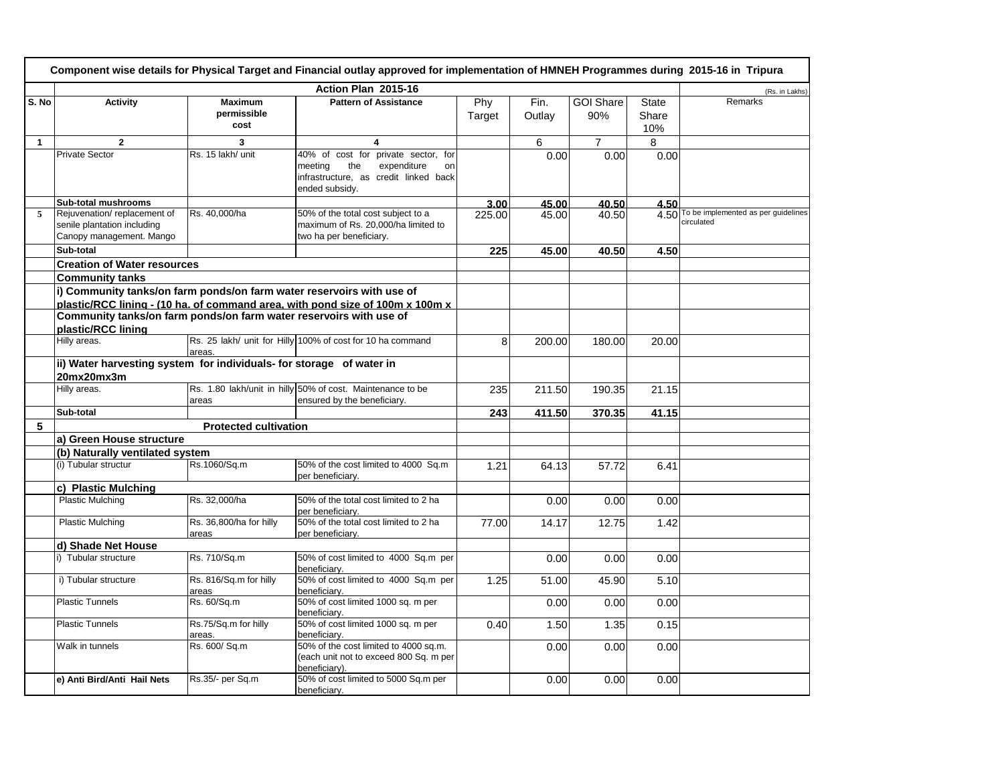|              | Component wise details for Physical Target and Financial outlay approved for implementation of HMNEH Programmes during 2015-16 in Tripura |                                       |                                                                                                      |               |                |                         |                              |                                                        |  |  |
|--------------|-------------------------------------------------------------------------------------------------------------------------------------------|---------------------------------------|------------------------------------------------------------------------------------------------------|---------------|----------------|-------------------------|------------------------------|--------------------------------------------------------|--|--|
|              |                                                                                                                                           |                                       | Action Plan 2015-16                                                                                  |               |                |                         |                              | (Rs. in Lakhs)                                         |  |  |
| S. No        | <b>Activity</b>                                                                                                                           | <b>Maximum</b><br>permissible<br>cost | <b>Pattern of Assistance</b>                                                                         | Phy<br>Target | Fin.<br>Outlay | <b>GOI Share</b><br>90% | <b>State</b><br>Share<br>10% | Remarks                                                |  |  |
| $\mathbf{1}$ | $\overline{2}$                                                                                                                            | 3                                     | 4                                                                                                    |               | 6              | $\overline{7}$          | 8                            |                                                        |  |  |
|              | <b>Private Sector</b>                                                                                                                     | Rs. 15 lakh/ unit                     | 40% of cost for private sector, for                                                                  |               | 0.00           | 0.00                    | 0.00                         |                                                        |  |  |
|              |                                                                                                                                           |                                       | the<br>expenditure<br>meeting<br>on<br>infrastructure, as credit linked back<br>ended subsidy.       |               |                |                         |                              |                                                        |  |  |
|              | Sub-total mushrooms                                                                                                                       |                                       |                                                                                                      | 3.00          | 45.00          | 40.50                   | 4.50                         |                                                        |  |  |
| 5            | Rejuvenation/replacement of<br>senile plantation including<br>Canopy management. Mango                                                    | Rs. 40,000/ha                         | 50% of the total cost subject to a<br>maximum of Rs. 20,000/ha limited to<br>two ha per beneficiary. | 225.00        | 45.00          | 40.50                   |                              | 4.50 To be implemented as per guidelines<br>circulated |  |  |
|              | Sub-total                                                                                                                                 |                                       |                                                                                                      | 225           | 45.00          | 40.50                   | 4.50                         |                                                        |  |  |
|              | <b>Creation of Water resources</b>                                                                                                        |                                       |                                                                                                      |               |                |                         |                              |                                                        |  |  |
|              | <b>Community tanks</b>                                                                                                                    |                                       |                                                                                                      |               |                |                         |                              |                                                        |  |  |
|              | i) Community tanks/on farm ponds/on farm water reservoirs with use of                                                                     |                                       |                                                                                                      |               |                |                         |                              |                                                        |  |  |
|              |                                                                                                                                           |                                       | plastic/RCC lining - (10 ha. of command area, with pond size of 100m x 100m x                        |               |                |                         |                              |                                                        |  |  |
|              | Community tanks/on farm ponds/on farm water reservoirs with use of                                                                        |                                       |                                                                                                      |               |                |                         |                              |                                                        |  |  |
|              | plastic/RCC lining                                                                                                                        |                                       |                                                                                                      |               |                |                         |                              |                                                        |  |  |
|              | Hilly areas.                                                                                                                              | areas.                                | Rs. 25 lakh/ unit for Hilly 100% of cost for 10 ha command                                           | 8             | 200.00         | 180.00                  | 20.00                        |                                                        |  |  |
|              | ii) Water harvesting system for individuals- for storage of water in                                                                      |                                       |                                                                                                      |               |                |                         |                              |                                                        |  |  |
|              | 20mx20mx3m                                                                                                                                |                                       |                                                                                                      |               |                |                         |                              |                                                        |  |  |
|              | Hilly areas.                                                                                                                              | areas                                 | Rs. 1.80 lakh/unit in hilly 50% of cost. Maintenance to be<br>ensured by the beneficiary.            | 235           | 211.50         | 190.35                  | 21.15                        |                                                        |  |  |
|              | Sub-total                                                                                                                                 |                                       |                                                                                                      | 243           | 411.50         | 370.35                  | 41.15                        |                                                        |  |  |
| 5            |                                                                                                                                           | <b>Protected cultivation</b>          |                                                                                                      |               |                |                         |                              |                                                        |  |  |
|              | a) Green House structure                                                                                                                  |                                       |                                                                                                      |               |                |                         |                              |                                                        |  |  |
|              | (b) Naturally ventilated system                                                                                                           |                                       |                                                                                                      |               |                |                         |                              |                                                        |  |  |
|              | (i) Tubular structur                                                                                                                      | Rs.1060/Sq.m                          | 50% of the cost limited to 4000 Sq.m<br>per beneficiarv.                                             | 1.21          | 64.13          | 57.72                   | 6.41                         |                                                        |  |  |
|              | c) Plastic Mulching                                                                                                                       |                                       |                                                                                                      |               |                |                         |                              |                                                        |  |  |
|              | Plastic Mulching                                                                                                                          | Rs. 32,000/ha                         | 50% of the total cost limited to 2 ha<br>per beneficiary.                                            |               | 0.00           | 0.00                    | 0.00                         |                                                        |  |  |
|              | <b>Plastic Mulching</b>                                                                                                                   | Rs. 36,800/ha for hilly<br>areas      | 50% of the total cost limited to 2 ha<br>per beneficiary.                                            | 77.00         | 14.17          | 12.75                   | 1.42                         |                                                        |  |  |
|              | d) Shade Net House                                                                                                                        |                                       |                                                                                                      |               |                |                         |                              |                                                        |  |  |
|              | i) Tubular structure                                                                                                                      | Rs. 710/Sq.m                          | 50% of cost limited to 4000 Sq.m per<br>beneficiary.                                                 |               | 0.00           | 0.00                    | 0.00                         |                                                        |  |  |
|              | i) Tubular structure                                                                                                                      | Rs. 816/Sq.m for hilly<br>areas       | 50% of cost limited to 4000 Sq.m per<br>beneficiarv.                                                 | 1.25          | 51.00          | 45.90                   | 5.10                         |                                                        |  |  |
|              | <b>Plastic Tunnels</b>                                                                                                                    | Rs. 60/Sq.m                           | 50% of cost limited 1000 sq. m per<br>beneficiary.                                                   |               | 0.00           | 0.00                    | 0.00                         |                                                        |  |  |
|              | <b>Plastic Tunnels</b>                                                                                                                    | Rs.75/Sq.m for hilly<br>areas.        | 50% of cost limited 1000 sq. m per<br>beneficiarv.                                                   | 0.40          | 1.50           | 1.35                    | 0.15                         |                                                        |  |  |
|              | Walk in tunnels                                                                                                                           | Rs. 600/ Sq.m                         | 50% of the cost limited to 4000 sq.m.<br>(each unit not to exceed 800 Sq. m per<br>beneficiary).     |               | 0.00           | 0.00                    | 0.00                         |                                                        |  |  |
|              | e) Anti Bird/Anti Hail Nets                                                                                                               | Rs.35/- per Sq.m                      | 50% of cost limited to 5000 Sq.m per<br>beneficiary.                                                 |               | 0.00           | 0.00                    | 0.00                         |                                                        |  |  |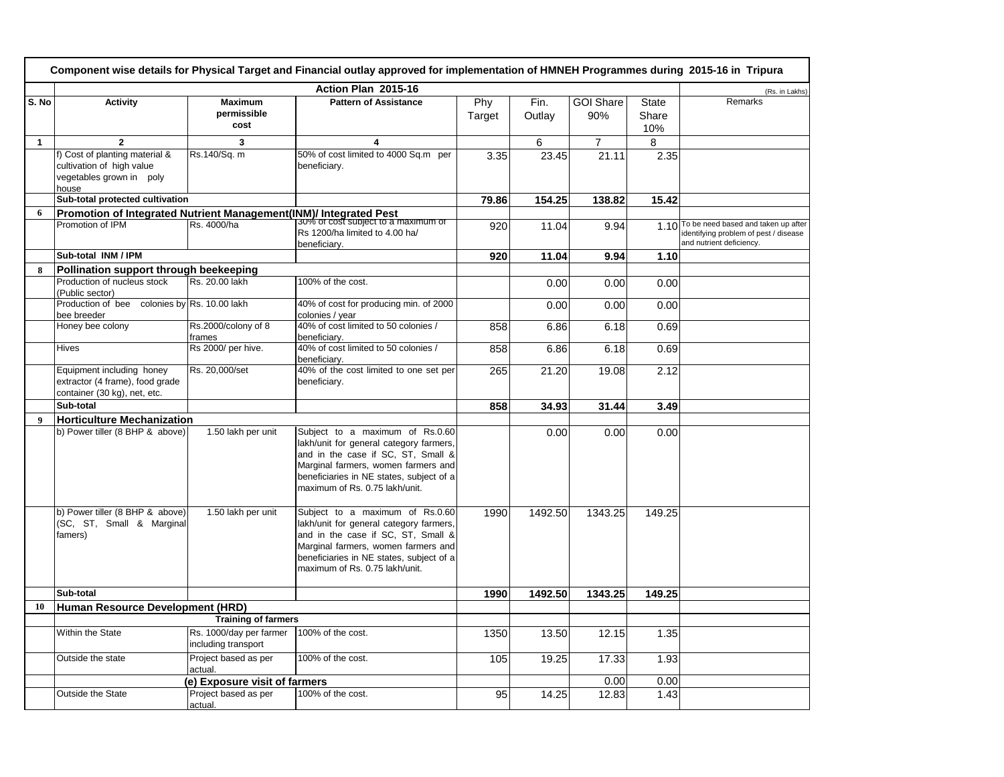|              | Component wise details for Physical Target and Financial outlay approved for implementation of HMNEH Programmes during 2015-16 in Tripura |                                                |                                                                                                                                                                                                                                       |               |                |                         |                              |                                                                                                               |
|--------------|-------------------------------------------------------------------------------------------------------------------------------------------|------------------------------------------------|---------------------------------------------------------------------------------------------------------------------------------------------------------------------------------------------------------------------------------------|---------------|----------------|-------------------------|------------------------------|---------------------------------------------------------------------------------------------------------------|
|              | Action Plan 2015-16                                                                                                                       |                                                |                                                                                                                                                                                                                                       |               |                |                         |                              | (Rs. in Lakhs)                                                                                                |
| S. No        | <b>Activity</b>                                                                                                                           | <b>Maximum</b><br>permissible<br>cost          | <b>Pattern of Assistance</b>                                                                                                                                                                                                          | Phy<br>Target | Fin.<br>Outlay | <b>GOI Share</b><br>90% | <b>State</b><br>Share<br>10% | Remarks                                                                                                       |
| $\mathbf{1}$ | $\overline{2}$                                                                                                                            | 3                                              | 4                                                                                                                                                                                                                                     |               | 6              | $\overline{7}$          | 8                            |                                                                                                               |
|              | f) Cost of planting material &<br>cultivation of high value<br>vegetables grown in poly<br>house                                          | Rs.140/Sq. m                                   | 50% of cost limited to 4000 Sq.m per<br>beneficiarv.                                                                                                                                                                                  | 3.35          | 23.45          | 21.11                   | 2.35                         |                                                                                                               |
|              | Sub-total protected cultivation                                                                                                           |                                                |                                                                                                                                                                                                                                       | 79.86         | 154.25         | 138.82                  | 15.42                        |                                                                                                               |
| 6            |                                                                                                                                           |                                                |                                                                                                                                                                                                                                       |               |                |                         |                              |                                                                                                               |
|              | Promotion of IPM                                                                                                                          | Rs. 4000/ha                                    | Promotion of Integrated Nutrient Management(INM)/ Integrated Pest<br>Rs 1200/ha limited to 4.00 ha/<br>beneficiary.                                                                                                                   | 920           | 11.04          | 9.94                    |                              | 1.10 To be need based and taken up after<br>identifying problem of pest / disease<br>and nutrient deficiency. |
|              | Sub-total INM / IPM                                                                                                                       |                                                |                                                                                                                                                                                                                                       | 920           | 11.04          | 9.94                    | 1.10                         |                                                                                                               |
| 8            | Pollination support through beekeeping                                                                                                    |                                                |                                                                                                                                                                                                                                       |               |                |                         |                              |                                                                                                               |
|              | Production of nucleus stock<br>(Public sector)                                                                                            | Rs. 20.00 lakh                                 | 100% of the cost.                                                                                                                                                                                                                     |               | 0.00           | 0.00                    | 0.00                         |                                                                                                               |
|              | Production of bee colonies by Rs. 10.00 lakh<br>bee breeder                                                                               |                                                | 40% of cost for producing min. of 2000<br>colonies / year                                                                                                                                                                             |               | 0.00           | 0.00                    | 0.00                         |                                                                                                               |
|              | Honey bee colony                                                                                                                          | Rs.2000/colony of 8<br>frames                  | 40% of cost limited to 50 colonies /<br>beneficiary.                                                                                                                                                                                  | 858           | 6.86           | 6.18                    | 0.69                         |                                                                                                               |
|              | <b>Hives</b>                                                                                                                              | Rs 2000/ per hive.                             | 40% of cost limited to 50 colonies /<br>beneficiary.                                                                                                                                                                                  | 858           | 6.86           | 6.18                    | 0.69                         |                                                                                                               |
|              | Equipment including honey<br>extractor (4 frame), food grade<br>container (30 kg), net, etc.                                              | Rs. 20.000/set                                 | 40% of the cost limited to one set per<br>beneficiarv.                                                                                                                                                                                | 265           | 21.20          | 19.08                   | 2.12                         |                                                                                                               |
|              | Sub-total                                                                                                                                 |                                                |                                                                                                                                                                                                                                       | 858           | 34.93          | 31.44                   | 3.49                         |                                                                                                               |
| 9            | Horticulture Mechanization                                                                                                                |                                                |                                                                                                                                                                                                                                       |               |                |                         |                              |                                                                                                               |
|              | b) Power tiller (8 BHP & above)                                                                                                           | 1.50 lakh per unit                             | Subject to a maximum of Rs.0.60<br>lakh/unit for general category farmers,<br>and in the case if SC, ST, Small &<br>Marginal farmers, women farmers and<br>beneficiaries in NE states, subject of a<br>maximum of Rs. 0.75 lakh/unit. |               | 0.00           | 0.00                    | 0.00                         |                                                                                                               |
|              | b) Power tiller (8 BHP & above)<br>(SC, ST, Small & Marginal<br>famers)                                                                   | 1.50 lakh per unit                             | Subject to a maximum of Rs.0.60<br>lakh/unit for general category farmers,<br>and in the case if SC, ST, Small &<br>Marginal farmers, women farmers and<br>beneficiaries in NE states, subject of a<br>maximum of Rs. 0.75 lakh/unit. | 1990          | 1492.50        | 1343.25                 | 149.25                       |                                                                                                               |
|              | Sub-total                                                                                                                                 |                                                |                                                                                                                                                                                                                                       | 1990          | 1492.50        | 1343.25                 | 149.25                       |                                                                                                               |
| 10           | Human Resource Development (HRD)                                                                                                          |                                                |                                                                                                                                                                                                                                       |               |                |                         |                              |                                                                                                               |
|              |                                                                                                                                           | <b>Training of farmers</b>                     |                                                                                                                                                                                                                                       |               |                |                         |                              |                                                                                                               |
|              | Within the State                                                                                                                          | Rs. 1000/day per farmer<br>including transport | 100% of the cost.                                                                                                                                                                                                                     | 1350          | 13.50          | 12.15                   | 1.35                         |                                                                                                               |
|              | Outside the state                                                                                                                         | Project based as per<br>actual.                | 100% of the cost.                                                                                                                                                                                                                     | 105           | 19.25          | 17.33                   | 1.93                         |                                                                                                               |
|              |                                                                                                                                           | (e) Exposure visit of farmers                  |                                                                                                                                                                                                                                       |               |                | 0.00                    | 0.00                         |                                                                                                               |
|              | <b>Outside the State</b>                                                                                                                  | Project based as per<br>actual.                | 100% of the cost.                                                                                                                                                                                                                     | 95            | 14.25          | 12.83                   | 1.43                         |                                                                                                               |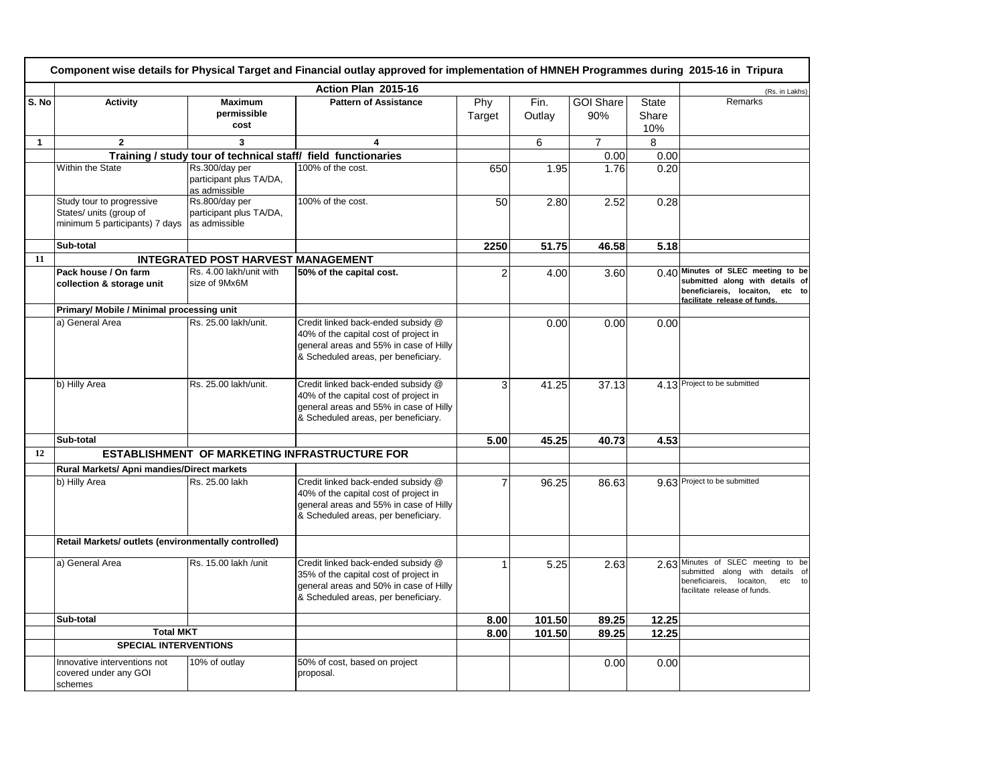| Component wise details for Physical Target and Financial outlay approved for implementation of HMNEH Programmes during 2015-16 in Tripura |                                                                                        |                                                            |                                                                                                                                                              |                |                |                         |                              |                                                                                                                                                      |
|-------------------------------------------------------------------------------------------------------------------------------------------|----------------------------------------------------------------------------------------|------------------------------------------------------------|--------------------------------------------------------------------------------------------------------------------------------------------------------------|----------------|----------------|-------------------------|------------------------------|------------------------------------------------------------------------------------------------------------------------------------------------------|
|                                                                                                                                           |                                                                                        |                                                            | Action Plan 2015-16                                                                                                                                          |                |                |                         |                              | (Rs. in Lakhs)                                                                                                                                       |
| S. No                                                                                                                                     | <b>Activity</b>                                                                        | <b>Maximum</b><br>permissible<br>cost                      | <b>Pattern of Assistance</b>                                                                                                                                 | Phy<br>Target  | Fin.<br>Outlay | <b>GOI Share</b><br>90% | <b>State</b><br>Share<br>10% | Remarks                                                                                                                                              |
| $\mathbf{1}$                                                                                                                              | $\overline{2}$                                                                         | 3                                                          | $\overline{\mathbf{4}}$                                                                                                                                      |                | 6              | $\overline{7}$          | 8                            |                                                                                                                                                      |
|                                                                                                                                           |                                                                                        |                                                            | Training / study tour of technical staff/ field functionaries                                                                                                |                |                | 0.00                    | 0.00                         |                                                                                                                                                      |
|                                                                                                                                           | Within the State                                                                       | Rs.300/day per<br>participant plus TA/DA,<br>as admissible | 100% of the cost.                                                                                                                                            | 650            | 1.95           | 1.76                    | 0.20                         |                                                                                                                                                      |
|                                                                                                                                           | Study tour to progressive<br>States/ units (group of<br>minimum 5 participants) 7 days | Rs.800/day per<br>participant plus TA/DA,<br>as admissible | 100% of the cost.                                                                                                                                            | 50             | 2.80           | 2.52                    | 0.28                         |                                                                                                                                                      |
|                                                                                                                                           | Sub-total                                                                              |                                                            |                                                                                                                                                              | 2250           | 51.75          | 46.58                   | 5.18                         |                                                                                                                                                      |
| 11                                                                                                                                        |                                                                                        | <b>INTEGRATED POST HARVEST MANAGEMENT</b>                  |                                                                                                                                                              |                |                |                         |                              |                                                                                                                                                      |
|                                                                                                                                           | Pack house / On farm<br>collection & storage unit                                      | Rs. 4.00 lakh/unit with<br>size of 9Mx6M                   | 50% of the capital cost.                                                                                                                                     | $\overline{2}$ | 4.00           | 3.60                    |                              | 0.40 Minutes of SLEC meeting to be<br>submitted along with details of<br>beneficiareis, locaiton, etc to<br>facilitate release of funds.             |
|                                                                                                                                           | Primary/ Mobile / Minimal processing unit                                              |                                                            |                                                                                                                                                              |                |                |                         |                              |                                                                                                                                                      |
|                                                                                                                                           | a) General Area                                                                        | Rs. 25.00 lakh/unit.                                       | Credit linked back-ended subsidy @<br>40% of the capital cost of project in<br>general areas and 55% in case of Hilly<br>& Scheduled areas, per beneficiary. |                | 0.00           | 0.00                    | 0.00                         |                                                                                                                                                      |
|                                                                                                                                           | b) Hilly Area                                                                          | Rs. 25.00 lakh/unit.                                       | Credit linked back-ended subsidy @<br>40% of the capital cost of project in<br>general areas and 55% in case of Hilly<br>& Scheduled areas, per beneficiary. | 3              | 41.25          | 37.13                   |                              | 4.13 Project to be submitted                                                                                                                         |
|                                                                                                                                           | Sub-total                                                                              |                                                            |                                                                                                                                                              | 5.00           | 45.25          | 40.73                   | 4.53                         |                                                                                                                                                      |
| 12                                                                                                                                        |                                                                                        |                                                            | <b>ESTABLISHMENT OF MARKETING INFRASTRUCTURE FOR</b>                                                                                                         |                |                |                         |                              |                                                                                                                                                      |
|                                                                                                                                           | Rural Markets/ Apni mandies/Direct markets                                             |                                                            |                                                                                                                                                              |                |                |                         |                              |                                                                                                                                                      |
|                                                                                                                                           | b) Hilly Area                                                                          | Rs. 25.00 lakh                                             | Credit linked back-ended subsidy @<br>40% of the capital cost of project in<br>general areas and 55% in case of Hilly<br>& Scheduled areas, per beneficiary. |                | 96.25          | 86.63                   |                              | 9.63 Project to be submitted                                                                                                                         |
|                                                                                                                                           | Retail Markets/ outlets (environmentally controlled)                                   |                                                            |                                                                                                                                                              |                |                |                         |                              |                                                                                                                                                      |
|                                                                                                                                           | a) General Area                                                                        | Rs. 15.00 lakh /unit                                       | Credit linked back-ended subsidy @<br>35% of the capital cost of project in<br>general areas and 50% in case of Hilly<br>& Scheduled areas, per beneficiary. |                | 5.25           | 2.63                    |                              | 2.63 Minutes of SLEC meeting<br>to be<br>submitted along with details of<br>beneficiareis,<br>locaiton,<br>etc<br>to<br>facilitate release of funds. |
|                                                                                                                                           | Sub-total                                                                              |                                                            |                                                                                                                                                              | 8.00           | 101.50         | 89.25                   | 12.25                        |                                                                                                                                                      |
|                                                                                                                                           | <b>Total MKT</b>                                                                       |                                                            |                                                                                                                                                              | 8.00           | 101.50         | 89.25                   | 12.25                        |                                                                                                                                                      |
|                                                                                                                                           | <b>SPECIAL INTERVENTIONS</b>                                                           |                                                            |                                                                                                                                                              |                |                |                         |                              |                                                                                                                                                      |
|                                                                                                                                           | Innovative interventions not<br>covered under any GOI<br>schemes                       | 10% of outlay                                              | 50% of cost, based on project<br>proposal.                                                                                                                   |                |                | 0.00                    | 0.00                         |                                                                                                                                                      |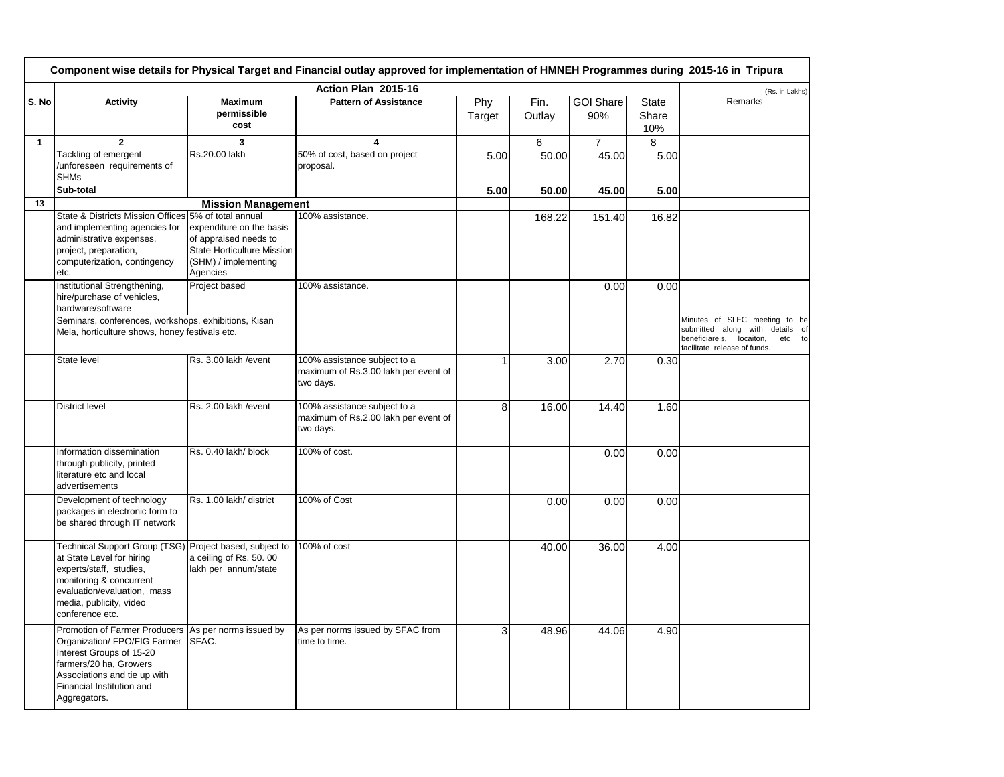|              | Component wise details for Physical Target and Financial outlay approved for implementation of HMNEH Programmes during 2015-16 in Tripura                                                                               |                                                                                                                            |                                                                                   |               |                |                         |                              |                                                                                                                                           |  |
|--------------|-------------------------------------------------------------------------------------------------------------------------------------------------------------------------------------------------------------------------|----------------------------------------------------------------------------------------------------------------------------|-----------------------------------------------------------------------------------|---------------|----------------|-------------------------|------------------------------|-------------------------------------------------------------------------------------------------------------------------------------------|--|
|              |                                                                                                                                                                                                                         |                                                                                                                            | Action Plan 2015-16                                                               |               |                |                         |                              | (Rs. in Lakhs)                                                                                                                            |  |
| S. No        | <b>Activity</b>                                                                                                                                                                                                         | <b>Maximum</b><br>permissible<br>cost                                                                                      | <b>Pattern of Assistance</b>                                                      | Phy<br>Target | Fin.<br>Outlay | <b>GOI Share</b><br>90% | <b>State</b><br>Share<br>10% | Remarks                                                                                                                                   |  |
| $\mathbf{1}$ | $\overline{2}$                                                                                                                                                                                                          | 3                                                                                                                          | 4                                                                                 |               | 6              | $\overline{7}$          | 8                            |                                                                                                                                           |  |
|              | Tackling of emergent<br>/unforeseen requirements of<br><b>SHMs</b>                                                                                                                                                      | Rs.20.00 lakh                                                                                                              | 50% of cost, based on project<br>proposal.                                        | 5.00          | 50.00          | 45.00                   | 5.00                         |                                                                                                                                           |  |
|              | Sub-total                                                                                                                                                                                                               |                                                                                                                            |                                                                                   | 5.00          | 50.00          | 45.00                   | 5.00                         |                                                                                                                                           |  |
| 13           |                                                                                                                                                                                                                         | <b>Mission Management</b>                                                                                                  |                                                                                   |               |                |                         |                              |                                                                                                                                           |  |
|              | State & Districts Mission Offices 5% of total annual<br>and implementing agencies for<br>administrative expenses,<br>project, preparation,<br>computerization, contingency<br>etc.                                      | expenditure on the basis<br>of appraised needs to<br><b>State Horticulture Mission</b><br>(SHM) / implementing<br>Agencies | 100% assistance.                                                                  |               | 168.22         | 151.40                  | 16.82                        |                                                                                                                                           |  |
|              | Institutional Strengthening,<br>hire/purchase of vehicles,<br>hardware/software                                                                                                                                         | Project based                                                                                                              | 100% assistance.                                                                  |               |                | 0.00                    | 0.00                         |                                                                                                                                           |  |
|              | Seminars, conferences, workshops, exhibitions, Kisan<br>Mela, horticulture shows, honey festivals etc.                                                                                                                  |                                                                                                                            |                                                                                   |               |                |                         |                              | Minutes of SLEC meeting to be<br>submitted along with details of<br>beneficiareis,<br>locaiton,<br>etc to<br>facilitate release of funds. |  |
|              | State level                                                                                                                                                                                                             | Rs. 3.00 lakh / event                                                                                                      | 100% assistance subject to a<br>maximum of Rs.3.00 lakh per event of<br>two days. | 1             | 3.00           | 2.70                    | 0.30                         |                                                                                                                                           |  |
|              | <b>District level</b>                                                                                                                                                                                                   | Rs. 2.00 lakh / event                                                                                                      | 100% assistance subject to a<br>maximum of Rs.2.00 lakh per event of<br>two days. | 8             | 16.00          | 14.40                   | 1.60                         |                                                                                                                                           |  |
|              | Information dissemination<br>through publicity, printed<br>literature etc and local<br>advertisements                                                                                                                   | Rs. 0.40 lakh/ block                                                                                                       | 100% of cost.                                                                     |               |                | 0.00                    | 0.00                         |                                                                                                                                           |  |
|              | Development of technology<br>packages in electronic form to<br>be shared through IT network                                                                                                                             | Rs. 1.00 lakh/ district                                                                                                    | 100% of Cost                                                                      |               | 0.00           | 0.00                    | 0.00                         |                                                                                                                                           |  |
|              | Technical Support Group (TSG) Project based, subject to<br>at State Level for hiring<br>experts/staff, studies,<br>monitoring & concurrent<br>evaluation/evaluation, mass<br>media, publicity, video<br>conference etc. | a ceiling of Rs. 50.00<br>lakh per annum/state                                                                             | 100% of cost                                                                      |               | 40.00          | 36.00                   | 4.00                         |                                                                                                                                           |  |
|              | Promotion of Farmer Producers As per norms issued by<br>Organization/ FPO/FIG Farmer<br>Interest Groups of 15-20<br>farmers/20 ha, Growers<br>Associations and tie up with<br>Financial Institution and<br>Aggregators. | SFAC.                                                                                                                      | As per norms issued by SFAC from<br>time to time.                                 | 3             | 48.96          | 44.06                   | 4.90                         |                                                                                                                                           |  |